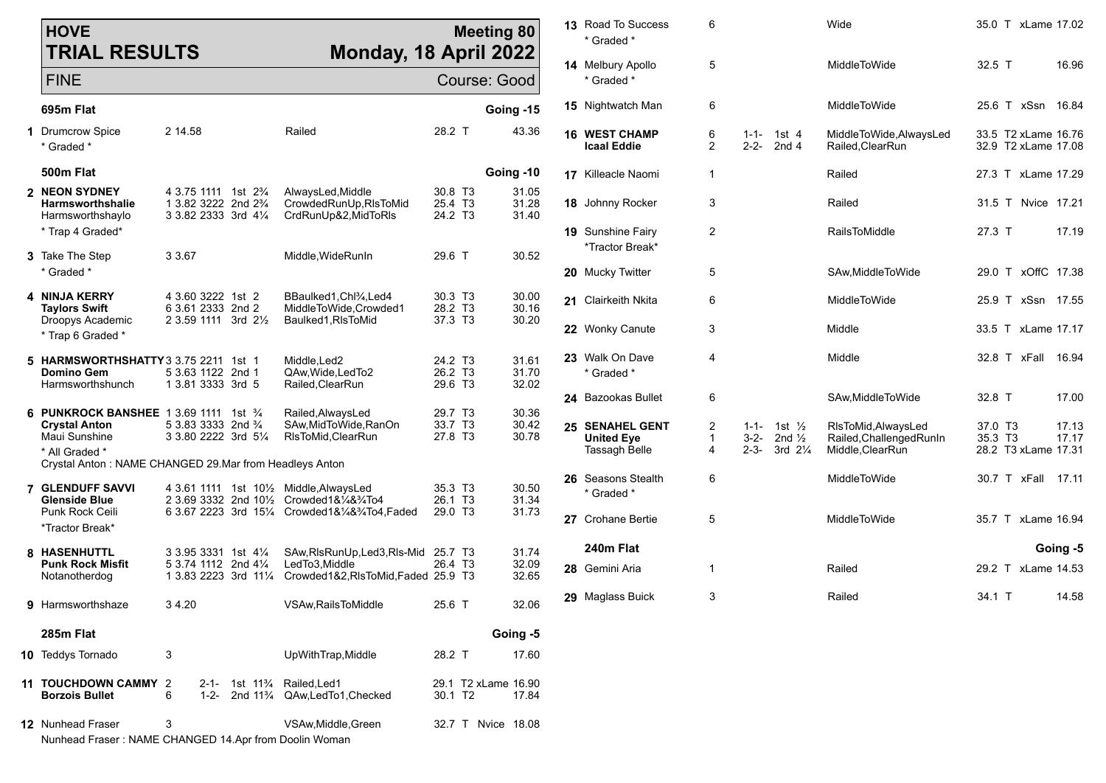| <b>HOVE</b><br><b>TRIAL RESULTS</b>                                                               |                                                                                                                        | Monday, 18 April 2022                                                                                                                    |                                                                   | <b>Meeting 80</b>            | 13 Road To Success<br>* Graded *                             | 6                      |                                  |                                                                | Wide                                                                |                    | 35.0 T xLame 17.02                         |                |
|---------------------------------------------------------------------------------------------------|------------------------------------------------------------------------------------------------------------------------|------------------------------------------------------------------------------------------------------------------------------------------|-------------------------------------------------------------------|------------------------------|--------------------------------------------------------------|------------------------|----------------------------------|----------------------------------------------------------------|---------------------------------------------------------------------|--------------------|--------------------------------------------|----------------|
| FINE                                                                                              |                                                                                                                        |                                                                                                                                          |                                                                   | Course: Good                 | 14 Melbury Apollo<br>* Graded *                              | 5                      |                                  |                                                                | MiddleToWide                                                        | 32.5 T             |                                            | 16.96          |
| 695m Flat                                                                                         |                                                                                                                        |                                                                                                                                          |                                                                   | Going -15                    | <b>15</b> Nightwatch Man                                     | 6                      |                                  |                                                                | MiddleToWide                                                        |                    | 25.6 T xSsn 16.84                          |                |
| 1 Drumcrow Spice<br>* Graded *                                                                    | 2 14.58                                                                                                                | Railed                                                                                                                                   | 28.2 T                                                            | 43.36                        | <b>16 WEST CHAMP</b><br><b>Icaal Eddie</b>                   | 6<br>$\overline{2}$    | $1 - 1 -$<br>$2 - 2 -$           | 1st 4<br>2nd <sub>4</sub>                                      | MiddleToWide, AlwaysLed<br>Railed, ClearRun                         |                    | 33.5 T2 xLame 16.76<br>32.9 T2 xLame 17.08 |                |
| 500m Flat                                                                                         |                                                                                                                        |                                                                                                                                          |                                                                   | Going -10                    | <b>17</b> Killeacle Naomi                                    | $\overline{1}$         |                                  |                                                                | Railed                                                              |                    | 27.3 T xLame 17.29                         |                |
| 2 NEON SYDNEY<br><b>Harmsworthshalle</b><br>Harmsworthshaylo                                      | 4 3.75 1111 1st 2 <sup>3</sup> / <sub>4</sub><br>1 3.82 3222 2nd 2 <sup>3</sup> / <sub>4</sub><br>3 3.82 2333 3rd 41/4 | AlwaysLed, Middle<br>CrowdedRunUp, RIsToMid<br>CrdRunUp&2, MidToRIs                                                                      | 30.8 T <sub>3</sub><br>25.4 T <sub>3</sub><br>24.2 T <sub>3</sub> | 31.05<br>31.28<br>31.40      | 18 Johnny Rocker                                             | 3                      |                                  |                                                                | Railed                                                              |                    | 31.5 T Nvice 17.21                         |                |
| * Trap 4 Graded*<br><b>3</b> Take The Step                                                        | 3 3.67                                                                                                                 | Middle, WideRunIn                                                                                                                        | 29.6 T                                                            | 30.52                        | <b>19</b> Sunshine Fairy<br>*Tractor Break*                  | 2                      |                                  |                                                                | <b>RailsToMiddle</b>                                                | 27.3 T             |                                            | 17.19          |
| * Graded *                                                                                        |                                                                                                                        |                                                                                                                                          |                                                                   |                              | 20 Mucky Twitter                                             | 5                      |                                  |                                                                | SAw, Middle To Wide                                                 |                    | 29.0 T xOffC 17.38                         |                |
| 4 NINJA KERRY<br><b>Taylors Swift</b><br>Droopys Academic                                         | 4 3.60 3222 1st 2<br>6 3.61 2333 2nd 2<br>2 3.59 1111 3rd 21/ <sub>2</sub>                                             | BBaulked1, Chl <sup>3</sup> / <sub>4</sub> , Led4<br>MiddleToWide,Crowded1<br>Baulked1, RIsToMid                                         | 30.3 T3<br>28.2 T3<br>37.3 T3                                     | 30.00<br>30.16<br>30.20      | 21 Clairkeith Nkita                                          | 6                      |                                  |                                                                | MiddleToWide                                                        |                    | 25.9 T xSsn 17.55                          |                |
| * Trap 6 Graded *                                                                                 |                                                                                                                        |                                                                                                                                          |                                                                   |                              | 22 Wonky Canute                                              | 3                      |                                  |                                                                | Middle                                                              |                    | 33.5 T xLame 17.17                         |                |
| 5 HARMSWORTHSHATTY 3 3.75 2211 1st 1<br><b>Domino Gem</b><br>Harmsworthshunch                     | 5 3.63 1122 2nd 1<br>1 3.81 3333 3rd 5                                                                                 | Middle, Led <sub>2</sub><br>QAw, Wide, LedTo2<br>Railed, ClearRun                                                                        | 24.2 T3<br>26.2 T3<br>29.6 T3                                     | 31.61<br>31.70<br>32.02      | 23 Walk On Dave<br>* Graded *                                | 4                      |                                  |                                                                | Middle                                                              |                    | 32.8 T xFall 16.94                         |                |
|                                                                                                   |                                                                                                                        |                                                                                                                                          |                                                                   |                              | 24 Bazookas Bullet                                           | 6                      |                                  |                                                                | SAw, Middle To Wide                                                 | 32.8 T             |                                            | 17.00          |
| 6 PUNKROCK BANSHEE 1 3.69 1111 1st 3/4<br><b>Crystal Anton</b><br>Maui Sunshine<br>* All Graded * | 5 3.83 3333 2nd $\frac{3}{4}$<br>3 3.80 2222 3rd 51/4                                                                  | Railed, AlwaysLed<br>SAw, MidTo Wide, RanOn<br>RIsToMid, ClearRun                                                                        | 29.7 T <sub>3</sub><br>33.7 T <sub>3</sub><br>27.8 T <sub>3</sub> | 30.36<br>30.42<br>30.78      | 25 SENAHEL GENT<br><b>United Eye</b><br><b>Tassagh Belle</b> | 2<br>$\mathbf{1}$<br>4 | $1 - 1 -$<br>$3-2-$<br>$2 - 3 -$ | 1st $\frac{1}{2}$<br>2nd $\frac{1}{2}$<br>3rd 21/ <sub>4</sub> | RIsToMid, AlwaysLed<br>Railed, Challenged RunIn<br>Middle, ClearRun | 37.0 T3<br>35.3 T3 | 28.2 T3 xLame 17.31                        | 17.13<br>17.17 |
| Crystal Anton: NAME CHANGED 29. Mar from Headleys Anton                                           |                                                                                                                        |                                                                                                                                          |                                                                   |                              |                                                              |                        |                                  |                                                                |                                                                     |                    |                                            |                |
| <b>7 GLENDUFF SAVVI</b><br><b>Glenside Blue</b>                                                   |                                                                                                                        | 4 3.61 1111 1st 101/2 Middle, Always Led<br>2 3.69 3332 2nd 10 <sup>1</sup> / <sub>2</sub> Crowded1&1/ <sub>4</sub> &3/ <sub>4</sub> To4 | 35.3 T3<br>26.1 T3                                                | 30.50<br>31.34               | 26 Seasons Stealth<br>* Graded *                             | 6                      |                                  |                                                                | MiddleToWide                                                        |                    | 30.7 T xFall 17.11                         |                |
| Punk Rock Ceili<br>*Tractor Break*                                                                |                                                                                                                        | 6 3.67 2223 3rd 151/4 Crowded 1& 1/4& 3/4To 4, Faded                                                                                     | 29.0 T3                                                           | 31.73                        | 27 Crohane Bertie                                            | 5                      |                                  |                                                                | <b>MiddleToWide</b>                                                 |                    | 35.7 T xLame 16.94                         |                |
| 8 HASENHUTTL                                                                                      | 3 3.95 3331 1st 41/ <sub>4</sub>                                                                                       | SAw, RIs Run Up, Led 3, RIs-Mid 25.7 T3                                                                                                  |                                                                   | 31.74                        | 240m Flat                                                    |                        |                                  |                                                                |                                                                     |                    |                                            | Going -5       |
| <b>Punk Rock Misfit</b><br>Notanotherdog                                                          | 5 3.74 1112 2nd 41/4                                                                                                   | LedTo3.Middle<br>1 3.83 2223 3rd 111/4 Crowded 1& 2, RIs To Mid, Faded 25.9 T3                                                           | 26.4 T <sub>3</sub>                                               | 32.09<br>32.65               | 28 Gemini Aria                                               | -1                     |                                  |                                                                | Railed                                                              |                    | 29.2 T xLame 14.53                         |                |
| 9 Harmsworthshaze                                                                                 | 34.20                                                                                                                  | VSAw, Rails To Middle                                                                                                                    | 25.6 T                                                            | 32.06                        | 29 Maglass Buick                                             | 3                      |                                  |                                                                | Railed                                                              | 34.1 T             |                                            | 14.58          |
| 285m Flat                                                                                         |                                                                                                                        |                                                                                                                                          |                                                                   | Going -5                     |                                                              |                        |                                  |                                                                |                                                                     |                    |                                            |                |
| 10 Teddys Tornado                                                                                 | 3                                                                                                                      | UpWithTrap, Middle                                                                                                                       | 28.2 T                                                            | 17.60                        |                                                              |                        |                                  |                                                                |                                                                     |                    |                                            |                |
| 11 TOUCHDOWN CAMMY 2<br><b>Borzois Bullet</b>                                                     | 6                                                                                                                      | 2-1- 1st 11% Railed, Led1<br>1-2- 2nd 11 <sup>3</sup> /4 QAw, Led To 1, Checked                                                          | 30.1 T <sub>2</sub>                                               | 29.1 T2 xLame 16.90<br>17.84 |                                                              |                        |                                  |                                                                |                                                                     |                    |                                            |                |
| 12 Nunhead Fraser<br>Nunhead Fraser: NAME CHANGED 14.Apr from Doolin Woman                        | 3                                                                                                                      | VSAw, Middle, Green                                                                                                                      |                                                                   | 32.7 T Nvice 18.08           |                                                              |                        |                                  |                                                                |                                                                     |                    |                                            |                |